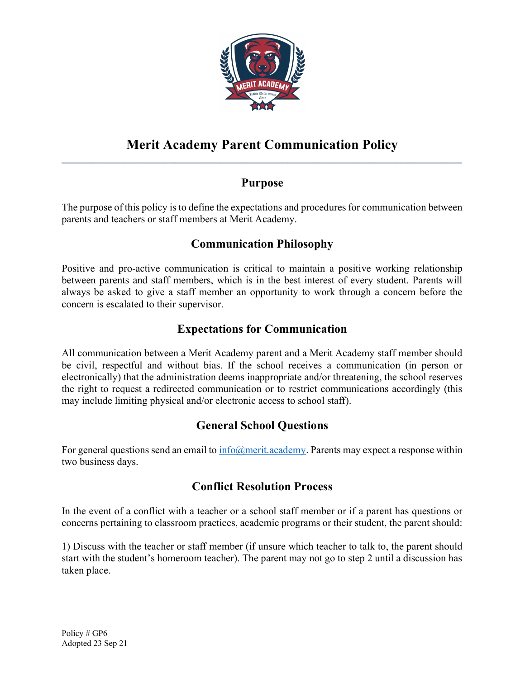

#### Merit Academy Parent Communication Policy  $\mathcal{L}_\mathcal{L} = \mathcal{L}_\mathcal{L} = \mathcal{L}_\mathcal{L} = \mathcal{L}_\mathcal{L} = \mathcal{L}_\mathcal{L} = \mathcal{L}_\mathcal{L} = \mathcal{L}_\mathcal{L} = \mathcal{L}_\mathcal{L} = \mathcal{L}_\mathcal{L} = \mathcal{L}_\mathcal{L} = \mathcal{L}_\mathcal{L} = \mathcal{L}_\mathcal{L} = \mathcal{L}_\mathcal{L} = \mathcal{L}_\mathcal{L} = \mathcal{L}_\mathcal{L} = \mathcal{L}_\mathcal{L} = \mathcal{L}_\mathcal{L}$

## Purpose

The purpose of this policy is to define the expectations and procedures for communication between parents and teachers or staff members at Merit Academy.

# Communication Philosophy

Positive and pro-active communication is critical to maintain a positive working relationship between parents and staff members, which is in the best interest of every student. Parents will always be asked to give a staff member an opportunity to work through a concern before the concern is escalated to their supervisor.

### Expectations for Communication

All communication between a Merit Academy parent and a Merit Academy staff member should be civil, respectful and without bias. If the school receives a communication (in person or electronically) that the administration deems inappropriate and/or threatening, the school reserves the right to request a redirected communication or to restrict communications accordingly (this may include limiting physical and/or electronic access to school staff).

### General School Questions

For general questions send an email to  $\frac{info(\omega)}{merit.academy}$ . Parents may expect a response within two business days.

### Conflict Resolution Process

In the event of a conflict with a teacher or a school staff member or if a parent has questions or concerns pertaining to classroom practices, academic programs or their student, the parent should:

1) Discuss with the teacher or staff member (if unsure which teacher to talk to, the parent should start with the student's homeroom teacher). The parent may not go to step 2 until a discussion has taken place.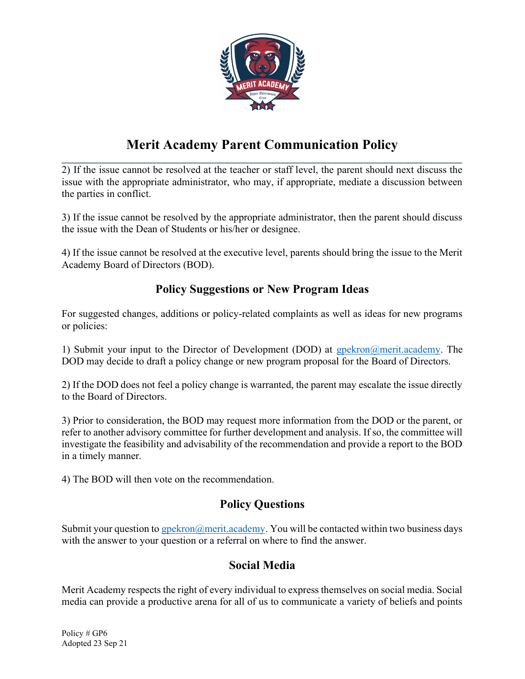

### Merit Academy Parent Communication Policy  $\mathcal{L}_\mathcal{L} = \mathcal{L}_\mathcal{L} = \mathcal{L}_\mathcal{L} = \mathcal{L}_\mathcal{L} = \mathcal{L}_\mathcal{L} = \mathcal{L}_\mathcal{L} = \mathcal{L}_\mathcal{L} = \mathcal{L}_\mathcal{L} = \mathcal{L}_\mathcal{L} = \mathcal{L}_\mathcal{L} = \mathcal{L}_\mathcal{L} = \mathcal{L}_\mathcal{L} = \mathcal{L}_\mathcal{L} = \mathcal{L}_\mathcal{L} = \mathcal{L}_\mathcal{L} = \mathcal{L}_\mathcal{L} = \mathcal{L}_\mathcal{L}$

2) If the issue cannot be resolved at the teacher or staff level, the parent should next discuss the issue with the appropriate administrator, who may, if appropriate, mediate a discussion between the parties in conflict.

3) If the issue cannot be resolved by the appropriate administrator, then the parent should discuss the issue with the Dean of Students or his/her or designee.

4) If the issue cannot be resolved at the executive level, parents should bring the issue to the Merit Academy Board of Directors (BOD).

### Policy Suggestions or New Program Ideas

For suggested changes, additions or policy-related complaints as well as ideas for new programs or policies:

1) Submit your input to the Director of Development (DOD) at gpekron@merit.academy. The DOD may decide to draft a policy change or new program proposal for the Board of Directors.

2) If the DOD does not feel a policy change is warranted, the parent may escalate the issue directly to the Board of Directors.

3) Prior to consideration, the BOD may request more information from the DOD or the parent, or refer to another advisory committee for further development and analysis. If so, the committee will investigate the feasibility and advisability of the recommendation and provide a report to the BOD in a timely manner.

4) The BOD will then vote on the recommendation.

### Policy Questions

Submit your question to gpekron@merit.academy. You will be contacted within two business days with the answer to your question or a referral on where to find the answer.

### Social Media

Merit Academy respects the right of every individual to express themselves on social media. Social media can provide a productive arena for all of us to communicate a variety of beliefs and points